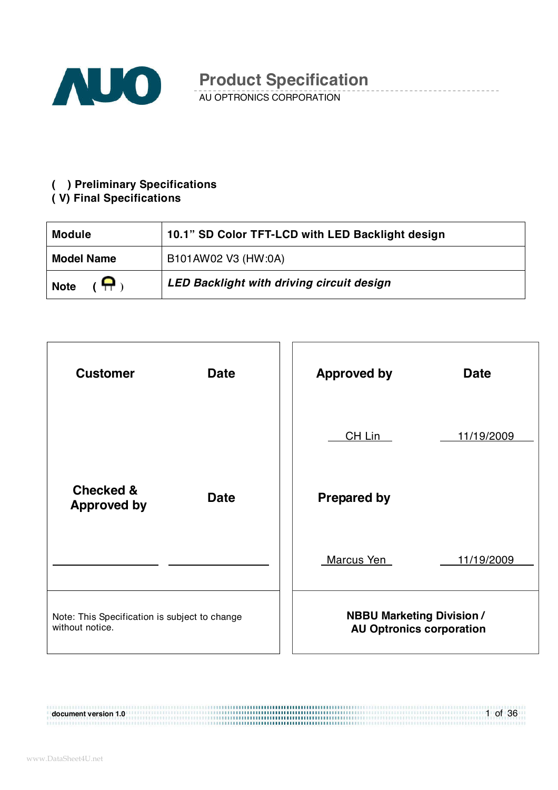

AU OPTRONICS CORPORATION

#### **( ) Preliminary Specifications**

### **( V) Final Specifications**

| <b>Module</b>                | 10.1" SD Color TFT-LCD with LED Backlight design |
|------------------------------|--------------------------------------------------|
| <b>Model Name</b>            | B101AW02 V3 (HW:0A)                              |
| $(\bigoplus)$<br><b>Note</b> | LED Backlight with driving circuit design        |



#### 1 of 36 **document version 1.0**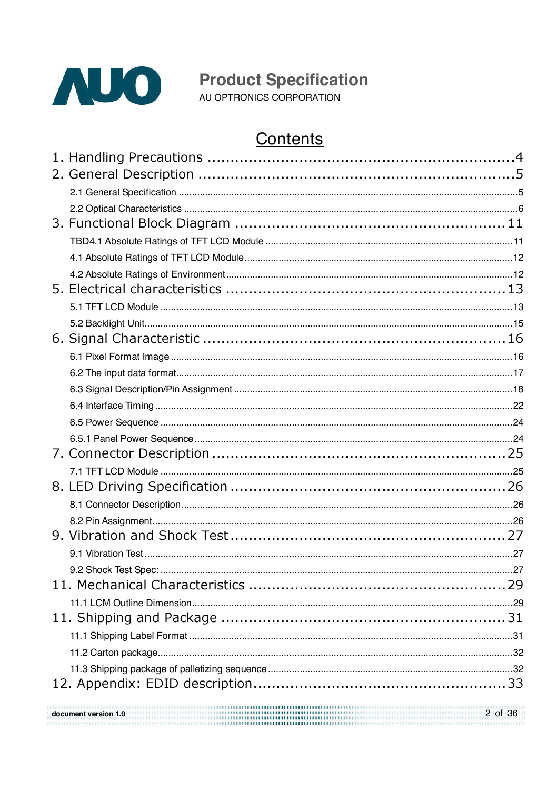

## Contents

 $\frac{1}{2}$  of 36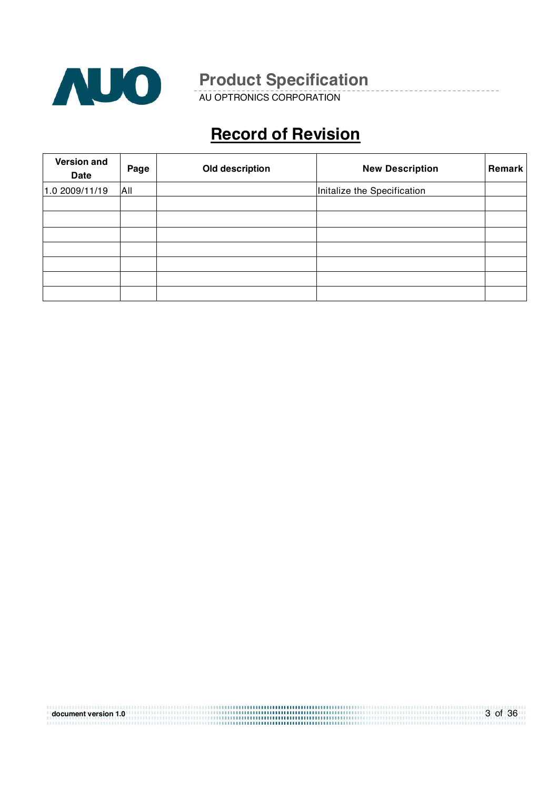

AU OPTRONICS CORPORATION

# **Record of Revision**

| <b>Version and</b><br><b>Date</b> | Page | Old description | <b>New Description</b>      | Remark |
|-----------------------------------|------|-----------------|-----------------------------|--------|
| 1.0 2009/11/19                    | All  |                 | Initalize the Specification |        |
|                                   |      |                 |                             |        |
|                                   |      |                 |                             |        |
|                                   |      |                 |                             |        |
|                                   |      |                 |                             |        |
|                                   |      |                 |                             |        |
|                                   |      |                 |                             |        |
|                                   |      |                 |                             |        |

| document version 1.0 | 3 of 36 |
|----------------------|---------|
|                      |         |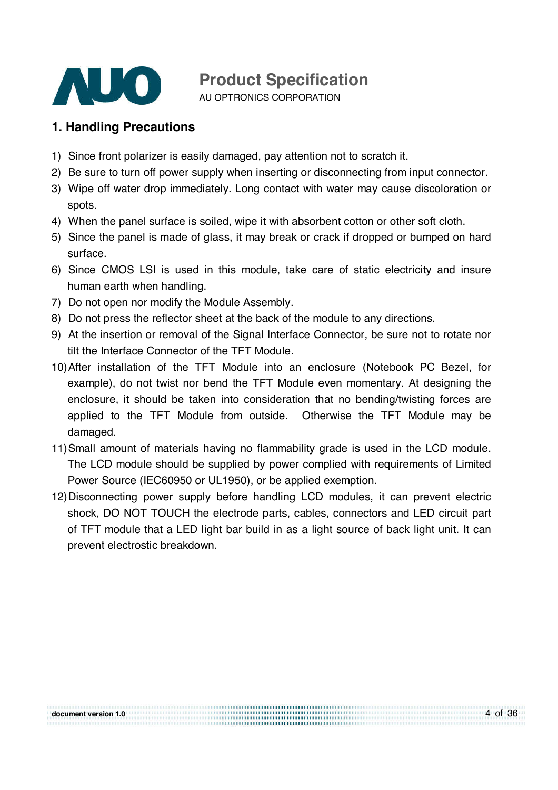

AU OPTRONICS CORPORATION

### **1. Handling Precautions**

- 1) Since front polarizer is easily damaged, pay attention not to scratch it.
- 2) Be sure to turn off power supply when inserting or disconnecting from input connector.
- 3) Wipe off water drop immediately. Long contact with water may cause discoloration or spots.
- 4) When the panel surface is soiled, wipe it with absorbent cotton or other soft cloth.
- 5) Since the panel is made of glass, it may break or crack if dropped or bumped on hard surface.
- 6) Since CMOS LSI is used in this module, take care of static electricity and insure human earth when handling.
- 7) Do not open nor modify the Module Assembly.
- 8) Do not press the reflector sheet at the back of the module to any directions.
- 9) At the insertion or removal of the Signal Interface Connector, be sure not to rotate nor tilt the Interface Connector of the TFT Module.
- 10) After installation of the TFT Module into an enclosure (Notebook PC Bezel, for example), do not twist nor bend the TFT Module even momentary. At designing the enclosure, it should be taken into consideration that no bending/twisting forces are applied to the TFT Module from outside. Otherwise the TFT Module may be damaged.
- 11) Small amount of materials having no flammability grade is used in the LCD module. The LCD module should be supplied by power complied with requirements of Limited Power Source (IEC60950 or UL1950), or be applied exemption.
- 12) Disconnecting power supply before handling LCD modules, it can prevent electric shock, DO NOT TOUCH the electrode parts, cables, connectors and LED circuit part of TFT module that a LED light bar build in as a light source of back light unit. It can prevent electrostic breakdown.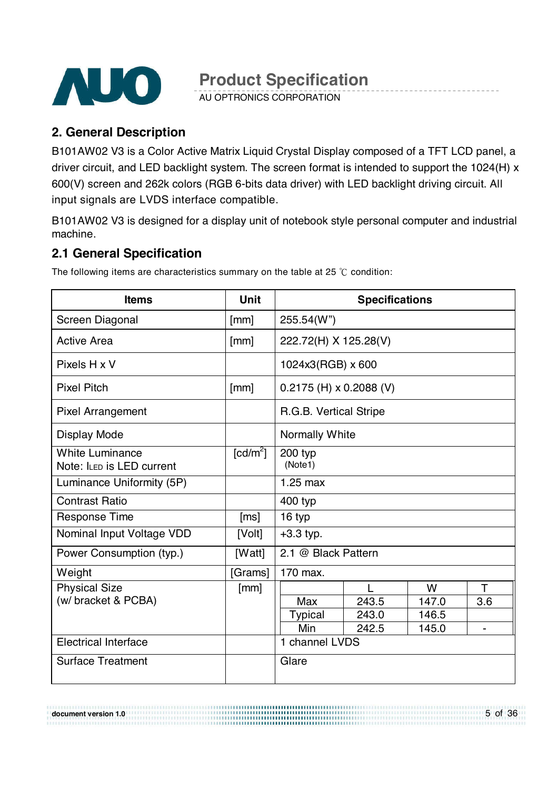

AU OPTRONICS CORPORATION

### **2. General Description**

B101AW02 V3 is a Color Active Matrix Liquid Crystal Display composed of a TFT LCD panel, a driver circuit, and LED backlight system. The screen format is intended to support the 1024(H) x 600(V) screen and 262k colors (RGB 6-bits data driver) with LED backlight driving circuit. All input signals are LVDS interface compatible.

B101AW02 V3 is designed for a display unit of notebook style personal computer and industrial machine.

### **2.1 General Specification**

**Items** | Unit | Specifications Screen Diagonal [mm] 255.54(W") Active Area  $\lvert \text{[mm]} \rvert$  222.72(H) X 125.28(V) Pixels H x V 1024x3(RGB) x 600 Pixel Pitch  $\begin{bmatrix} \text{mm} \end{bmatrix}$   $\begin{bmatrix} 0.2175 \text{ (H)} \times 0.2088 \text{ (V)} \end{bmatrix}$ Pixel Arrangement R.G.B. Vertical Stripe Display Mode Normally White White Luminance Note: ILED is LED current  $\text{[cd/m}^2$ ] ] 200 typ (Note1) Luminance Uniformity (5P) | 1.25 max Contrast Ratio 400 typ Response Time [ms] | 16 typ Nominal Input Voltage VDD [Volt]  $+3.3$  typ. Power Consumption (typ.) | [Watt] 2.1 @ Black Pattern Weight **[Grams]** 170 max. Physical Size (w/ bracket & PCBA) [mm] L W T Max 243.5 147.0 3.6 Typical 243.0 146.5 Min | 242.5 | 145.0 | -Electrical Interface 1 and 1 channel LVDS Surface Treatment Glare

The following items are characteristics summary on the table at 25  $\degree$ C condition:

**document version 1.0**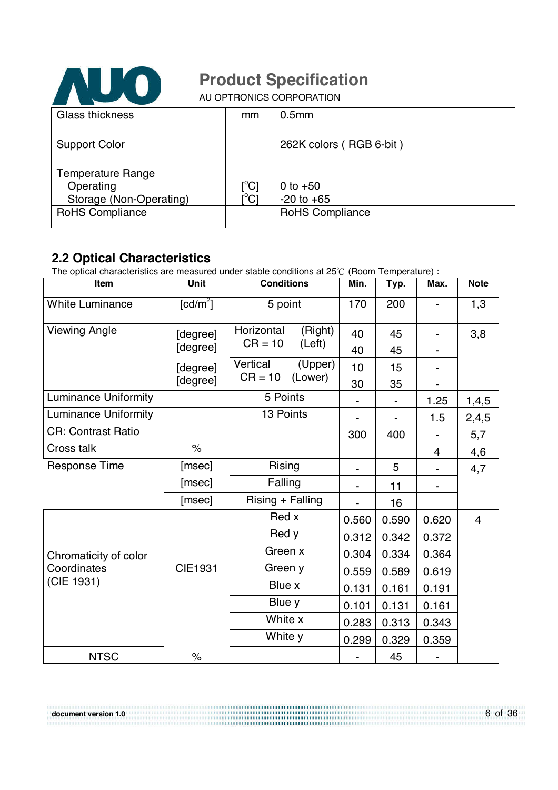

AU OPTRONICS CORPORATION

| Glass thickness          | mm                      | 0.5 <sub>mm</sub>       |
|--------------------------|-------------------------|-------------------------|
|                          |                         |                         |
| <b>Support Color</b>     |                         | 262K colors (RGB 6-bit) |
|                          |                         |                         |
| <b>Temperature Range</b> |                         |                         |
| Operating                | $[^{\circ}C]$           | 0 to $+50$              |
| Storage (Non-Operating)  | $\mathsf{I}^{\circ}$ Cl | $-20$ to $+65$          |
| <b>RoHS Compliance</b>   |                         | <b>RoHS Compliance</b>  |
|                          |                         |                         |

### **2.2 Optical Characteristics**

**document version 1.0**

The optical characteristics are measured under stable conditions at  $25^{\circ}$  (Room Temperature) :

| Item                        | <b>Unit</b>          | <b>Conditions</b>     | Min.  | Typ.  | Max.           | <b>Note</b>    |
|-----------------------------|----------------------|-----------------------|-------|-------|----------------|----------------|
| <b>White Luminance</b>      | [cd/m <sup>2</sup> ] | 5 point               | 170   | 200   |                | 1,3            |
| <b>Viewing Angle</b>        | [degree]             | Horizontal<br>(Right) | 40    | 45    |                | 3,8            |
|                             | [degree]             | $CR = 10$<br>(Left)   | 40    | 45    |                |                |
|                             | [degree]             | Vertical<br>(Upper)   | 10    | 15    |                |                |
|                             | [degree]             | $CR = 10$<br>(Lower)  | 30    | 35    |                |                |
| <b>Luminance Uniformity</b> |                      | 5 Points              |       |       | 1.25           | 1,4,5          |
| <b>Luminance Uniformity</b> |                      | 13 Points             |       |       | 1.5            | 2,4,5          |
| <b>CR: Contrast Ratio</b>   |                      |                       | 300   | 400   |                | 5,7            |
| Cross talk                  | $\%$                 |                       |       |       | $\overline{4}$ | 4,6            |
| <b>Response Time</b>        | [msec]               | Rising                |       | 5     |                | 4,7            |
|                             | [msec]               | Falling               |       | 11    |                |                |
|                             | [msec]               | Rising + Falling      |       | 16    |                |                |
|                             |                      | Red x                 | 0.560 | 0.590 | 0.620          | $\overline{4}$ |
|                             |                      | Red y                 | 0.312 | 0.342 | 0.372          |                |
| Chromaticity of color       |                      | Green x               | 0.304 | 0.334 | 0.364          |                |
| Coordinates                 | <b>CIE1931</b>       | Green y               | 0.559 | 0.589 | 0.619          |                |
| (CIE 1931)                  |                      | Blue x                | 0.131 | 0.161 | 0.191          |                |
|                             |                      | Blue y                | 0.101 | 0.131 | 0.161          |                |
|                             |                      | White x               | 0.283 | 0.313 | 0.343          |                |
|                             |                      | White y               | 0.299 | 0.329 | 0.359          |                |
| <b>NTSC</b>                 | $\%$                 |                       |       | 45    |                |                |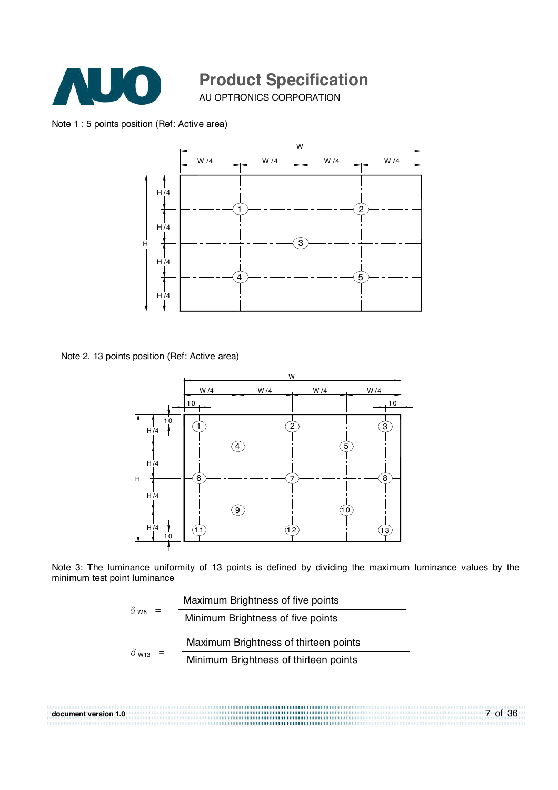

AU OPTRONICS CORPORATION

#### Note 1 : 5 points position (Ref: Active area)



Note 2. 13 points position (Ref: Active area)



Note 3: The luminance uniformity of 13 points is defined by dividing the maximum luminance values by the minimum test point luminance



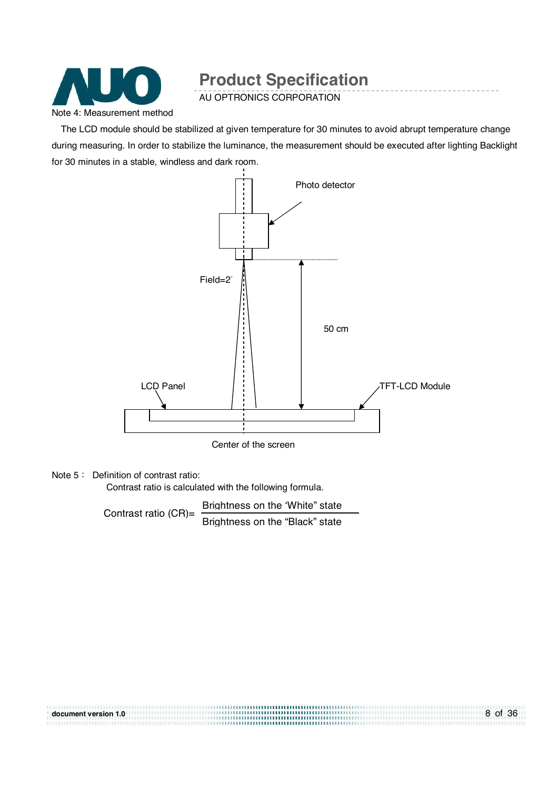

AU OPTRONICS CORPORATION

The LCD module should be stabilized at given temperature for 30 minutes to avoid abrupt temperature change during measuring. In order to stabilize the luminance, the measurement should be executed after lighting Backlight for 30 minutes in a stable, windless and dark room.



Center of the screen

#### Note  $5:$  Definition of contrast ratio:

Contrast ratio is calculated with the following formula.

Contrast ratio (CR)=  $\frac{\text{Brightness on the 'White'' state}}{\text{Brittial}}$ Brightness on the "Black" state

| document version 1.0 | 8 of 36 |
|----------------------|---------|
|                      |         |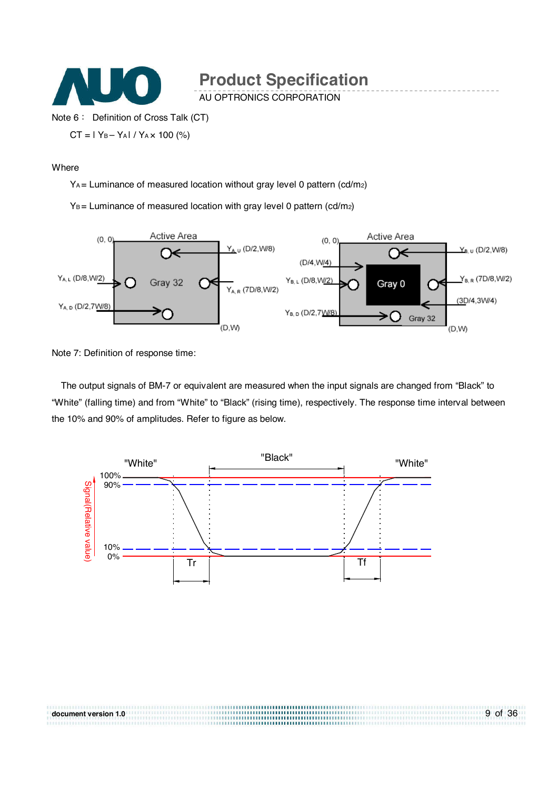

AU OPTRONICS CORPORATION

Note 6: Definition of Cross Talk (CT)

 $CT = 1$  Y<sub>B</sub> – Y<sub>A</sub> $1$  / Y<sub>A</sub> $\times$  100 (%)

#### Where

YA = Luminance of measured location without gray level 0 pattern (cd/m2)

 $Y_B$  = Luminance of measured location with gray level 0 pattern (cd/m<sub>2</sub>)



Note 7: Definition of response time:

The output signals of BM-7 or equivalent are measured when the input signals are changed from "Black" to "White" (falling time) and from "White" to "Black" (rising time), respectively. The response time interval between the 10% and 90% of amplitudes. Refer to figure as below.

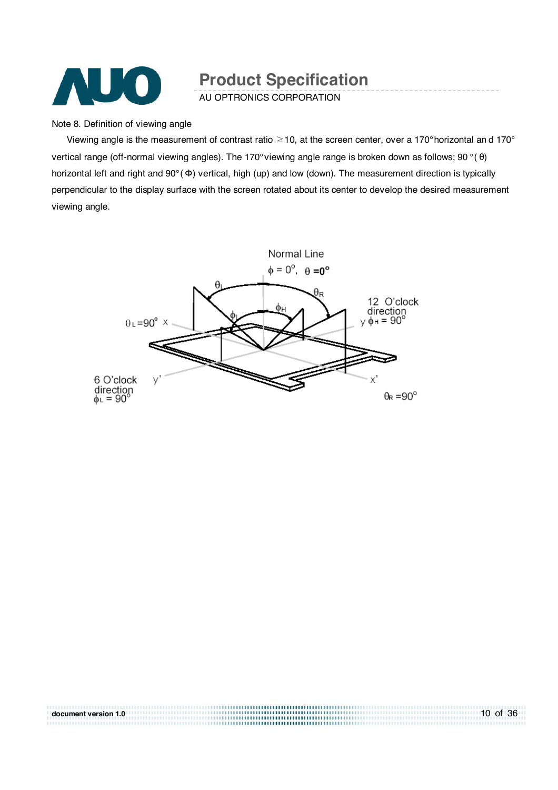

AU OPTRONICS CORPORATION

Note 8. Definition of viewing angle

Viewing angle is the measurement of contrast ratio  $\geq$  10, at the screen center, over a 170° horizontal an d 170° vertical range (off-normal viewing angles). The 170° viewing angle range is broken down as follows; 90 ° ( θ) horizontal left and right and 90° ( Φ) vertical, high (up) and low (down). The measurement direction is typically perpendicular to the display surface with the screen rotated about its center to develop the desired measurement viewing angle.



| document version 1.0 | 10 of 36 |
|----------------------|----------|
|                      |          |
|                      |          |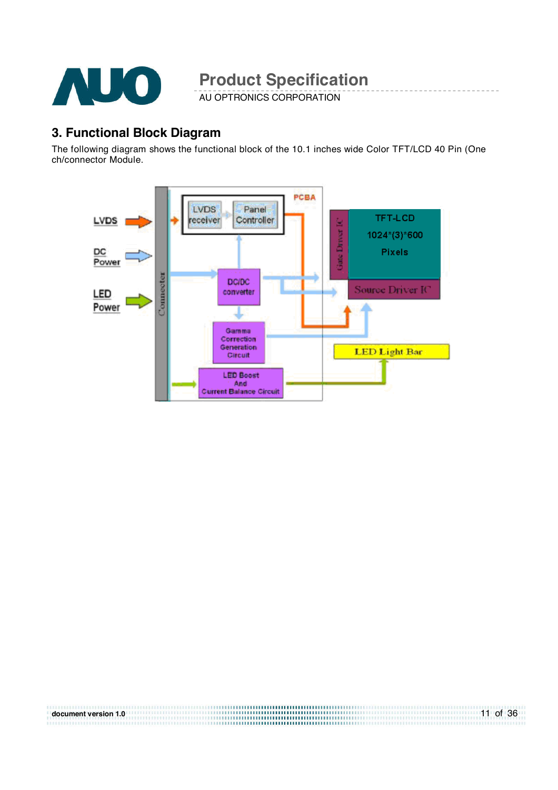

AU OPTRONICS CORPORATION

### **3. Functional Block Diagram**

The following diagram shows the functional block of the 10.1 inches wide Color TFT/LCD 40 Pin (One ch/connector Module.



| document version 1.0 | 11 of 36 |
|----------------------|----------|
|                      |          |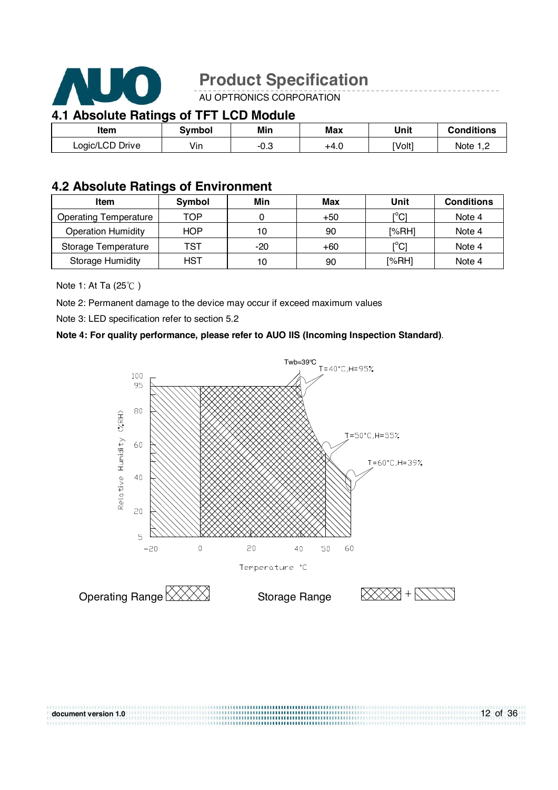

AU OPTRONICS CORPORATION

### **4.1 Absolute Ratings of TFT LCD Module**

| Item            | Symbol | Min                   | Max  | Unit   | <b>Conditions</b> |
|-----------------|--------|-----------------------|------|--------|-------------------|
| Logic/LCD Drive | Vin    | $\cap$ $\cap$<br>-∪.ఎ | +4.0 | [Volt] | Note 1 T          |

### **4.2 Absolute Ratings of Environment**

| Item                         | Symbol     | Min   | Max | Unit                    | <b>Conditions</b> |
|------------------------------|------------|-------|-----|-------------------------|-------------------|
| <b>Operating Temperature</b> | TOP        |       | +50 | וי∩ <sup>ס</sup> ז<br>◡ | Note 4            |
| <b>Operation Humidity</b>    | <b>HOP</b> | 10    | 90  | [%RH]                   | Note 4            |
| Storage Temperature          | TST        | $-20$ | +60 | [°C]                    | Note 4            |
| <b>Storage Humidity</b>      | <b>HST</b> | 10    | 90  | [%RH]                   | Note 4            |

#### Note 1: At Ta  $(25^{\circ}\text{C})$

Note 2: Permanent damage to the device may occur if exceed maximum values

Note 3: LED specification refer to section 5.2

#### **Note 4: For quality performance, please refer to AUO IIS (Incoming Inspection Standard)**.



.................................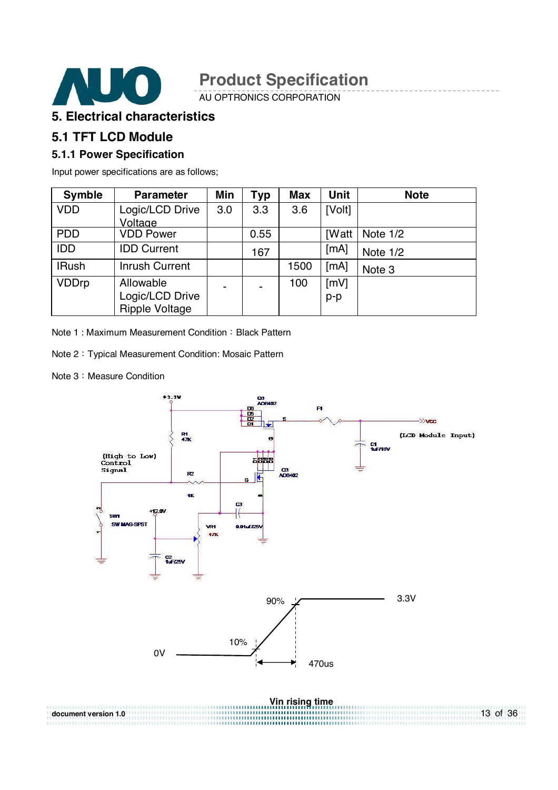

AU OPTRONICS CORPORATION

### **5. Electrical characteristics**

### **5.1 TFT LCD Module**

#### **5.1.1 Power Specification**

Input power specifications are as follows;

| <b>Symble</b> | <b>Parameter</b>      | <b>Min</b>     | Typ  | <b>Max</b> | Unit         | <b>Note</b> |
|---------------|-----------------------|----------------|------|------------|--------------|-------------|
| <b>VDD</b>    | Logic/LCD Drive       | 3.0            | 3.3  | 3.6        | [Volt]       |             |
|               | Voltage               |                |      |            |              |             |
| <b>PDD</b>    | <b>VDD Power</b>      |                | 0.55 |            | <b>[Watt</b> | Note 1/2    |
| <b>IDD</b>    | <b>IDD Current</b>    |                | 167  |            | [MA]         | Note 1/2    |
| <b>IRush</b>  | <b>Inrush Current</b> |                |      | 1500       | [mA]         | Note 3      |
| <b>VDDrp</b>  | Allowable             | $\blacksquare$ |      | 100        | mV1          |             |
|               | Logic/LCD Drive       |                |      |            | $p-p$        |             |
|               | <b>Ripple Voltage</b> |                |      |            |              |             |

Note 1: Maximum Measurement Condition: Black Pattern

Note 2: Typical Measurement Condition: Mosaic Pattern

Note 3: Measure Condition

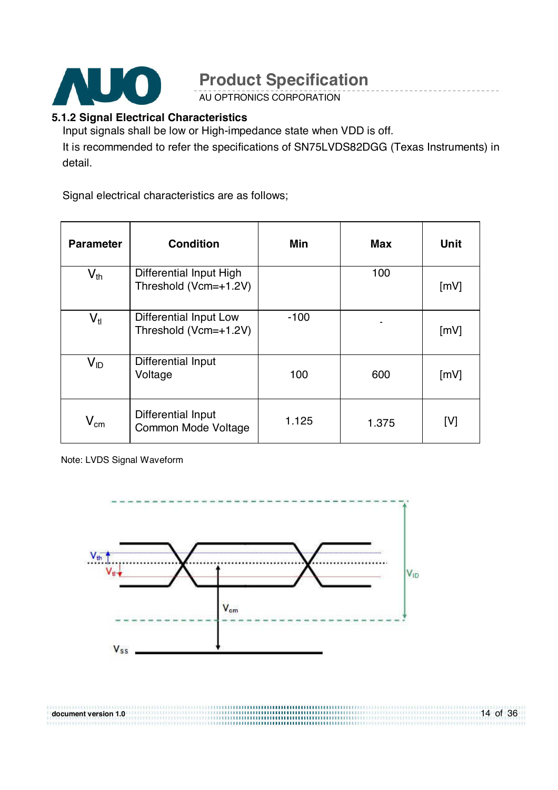

AU OPTRONICS CORPORATION

### **5.1.2 Signal Electrical Characteristics**

Input signals shall be low or High-impedance state when VDD is off. It is recommended to refer the specifications of SN75LVDS82DGG (Texas Instruments) in detail.

Signal electrical characteristics are as follows;

| <b>Parameter</b>           | <b>Condition</b>                                 | Min    | <b>Max</b> | <b>Unit</b> |
|----------------------------|--------------------------------------------------|--------|------------|-------------|
| $\mathsf{V}_{\mathsf{th}}$ | Differential Input High<br>Threshold (Vcm=+1.2V) |        | 100        | [mV]        |
| $V_{tl}$                   | Differential Input Low<br>Threshold (Vcm=+1.2V)  | $-100$ |            | [mV]        |
| $V_{ID}$                   | Differential Input<br>Voltage                    | 100    | 600        | [mV]        |
| $\mathsf{V_{cm}}$          | Differential Input<br>Common Mode Voltage        | 1.125  | 1.375      | [V]         |

Note: LVDS Signal Waveform

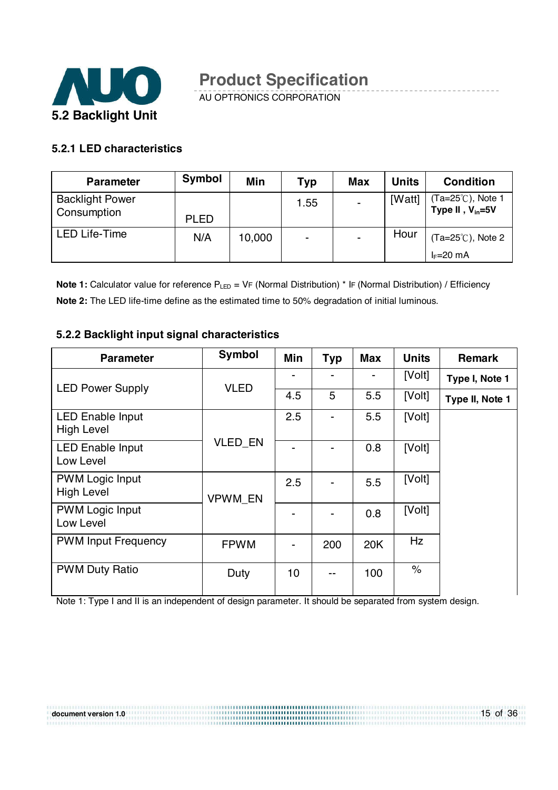

AU OPTRONICS CORPORATION

### **5.2.1 LED characteristics**

| <b>Parameter</b>                      | Symbol      | Min    | <b>Typ</b>     | <b>Max</b>     | <b>Units</b> | <b>Condition</b>                           |
|---------------------------------------|-------------|--------|----------------|----------------|--------------|--------------------------------------------|
| <b>Backlight Power</b><br>Consumption | <b>PLED</b> |        | 1.55           |                | [Watt]       | (Ta=25℃), Note 1<br>Type II, $V_{in} = 5V$ |
| <b>LED Life-Time</b>                  | N/A         | 10,000 | $\blacksquare$ | $\blacksquare$ | Hour         | $(Ta=25^{\circ}C)$ , Note 2<br>$I_F=20$ mA |

**Note 1:** Calculator value for reference P<sub>LED</sub> = VF (Normal Distribution) \* IF (Normal Distribution) / Efficiency **Note 2:** The LED life-time define as the estimated time to 50% degradation of initial luminous.

#### **5.2.2 Backlight input signal characteristics**

| <b>Parameter</b>                             | Symbol         | Min | <b>Typ</b> | Max | <b>Units</b> | <b>Remark</b>   |
|----------------------------------------------|----------------|-----|------------|-----|--------------|-----------------|
| <b>LED Power Supply</b>                      | <b>VLED</b>    |     | -          |     | [Volt]       | Type I, Note 1  |
|                                              |                | 4.5 | 5          | 5.5 | [Volt]       | Type II, Note 1 |
| <b>LED Enable Input</b><br><b>High Level</b> |                | 2.5 |            | 5.5 | [Volt]       |                 |
| <b>LED Enable Input</b><br>Low Level         | <b>VLED EN</b> |     |            | 0.8 | [Volt]       |                 |
| <b>PWM Logic Input</b><br><b>High Level</b>  | <b>VPWM EN</b> | 2.5 |            | 5.5 | [Volt]       |                 |
| <b>PWM Logic Input</b><br>Low Level          |                |     |            | 0.8 | [Volt]       |                 |
| <b>PWM Input Frequency</b>                   | <b>FPWM</b>    |     | 200        | 20K | Hz           |                 |
| <b>PWM Duty Ratio</b>                        | Duty           | 10  | --         | 100 | $\%$         |                 |

Note 1: Type I and II is an independent of design parameter. It should be separated from system design.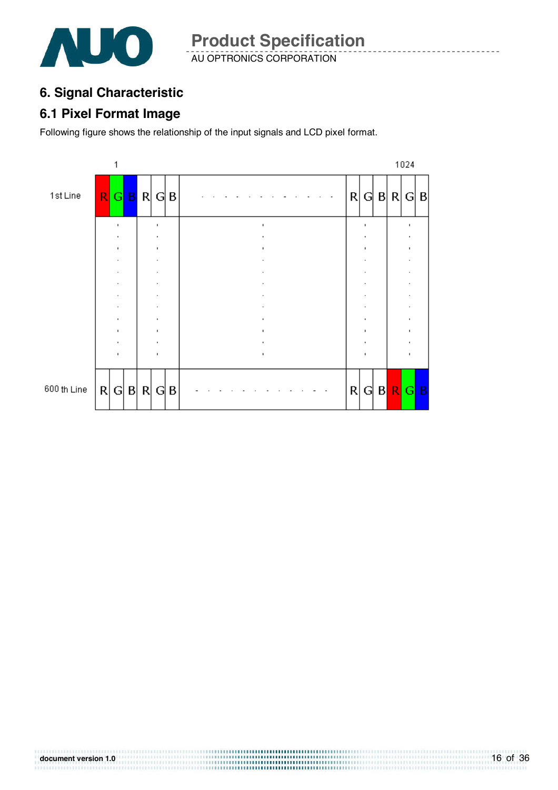

AU OPTRONICS CORPORATION **Product Specification** 

### **6. Signal Characteristic**

### **6.1 Pixel Format Image**

Following figure shows the relationship of the input signals and LCD pixel format.

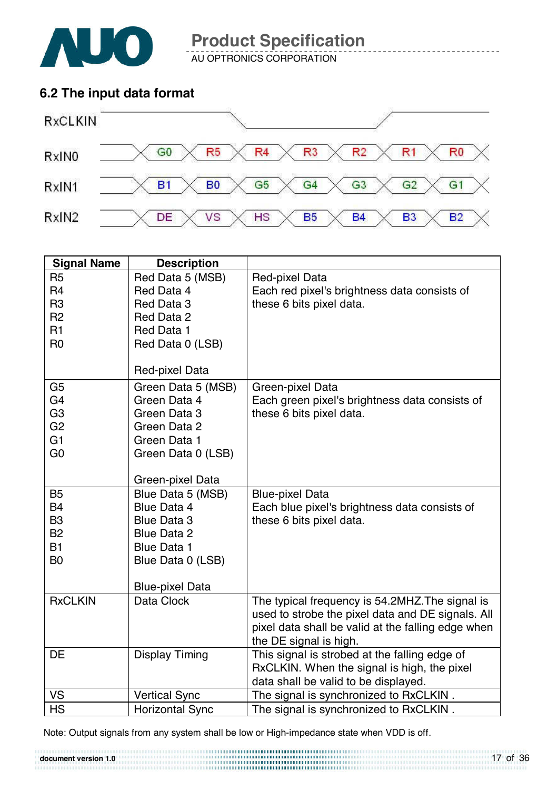

**document version 1.0**

**Product Specification** 

AU OPTRONICS CORPORATION

### **6.2 The input data format**



| <b>Signal Name</b> | <b>Description</b>     |                                                    |
|--------------------|------------------------|----------------------------------------------------|
| R <sub>5</sub>     | Red Data 5 (MSB)       | Red-pixel Data                                     |
| R <sub>4</sub>     | Red Data 4             | Each red pixel's brightness data consists of       |
| R <sub>3</sub>     | Red Data 3             | these 6 bits pixel data.                           |
| R <sub>2</sub>     | Red Data 2             |                                                    |
| R <sub>1</sub>     | Red Data 1             |                                                    |
| R <sub>0</sub>     | Red Data 0 (LSB)       |                                                    |
|                    |                        |                                                    |
|                    | Red-pixel Data         |                                                    |
| G <sub>5</sub>     | Green Data 5 (MSB)     | Green-pixel Data                                   |
| G <sub>4</sub>     | Green Data 4           | Each green pixel's brightness data consists of     |
| G <sub>3</sub>     | Green Data 3           | these 6 bits pixel data.                           |
| G <sub>2</sub>     | Green Data 2           |                                                    |
| G <sub>1</sub>     | Green Data 1           |                                                    |
| G <sub>0</sub>     | Green Data 0 (LSB)     |                                                    |
|                    |                        |                                                    |
|                    | Green-pixel Data       |                                                    |
| <b>B5</b>          | Blue Data 5 (MSB)      | <b>Blue-pixel Data</b>                             |
| <b>B4</b>          | <b>Blue Data 4</b>     | Each blue pixel's brightness data consists of      |
| B <sub>3</sub>     | <b>Blue Data 3</b>     | these 6 bits pixel data.                           |
| <b>B2</b>          | <b>Blue Data 2</b>     |                                                    |
| <b>B1</b>          | <b>Blue Data 1</b>     |                                                    |
| B <sub>0</sub>     | Blue Data 0 (LSB)      |                                                    |
|                    |                        |                                                    |
|                    | <b>Blue-pixel Data</b> |                                                    |
| <b>RxCLKIN</b>     | Data Clock             | The typical frequency is 54.2MHZ. The signal is    |
|                    |                        | used to strobe the pixel data and DE signals. All  |
|                    |                        | pixel data shall be valid at the falling edge when |
|                    |                        | the DE signal is high.                             |
| DE                 | <b>Display Timing</b>  | This signal is strobed at the falling edge of      |
|                    |                        | RxCLKIN. When the signal is high, the pixel        |
|                    |                        | data shall be valid to be displayed.               |
| VS                 | <b>Vertical Sync</b>   | The signal is synchronized to RxCLKIN.             |
| <b>HS</b>          | <b>Horizontal Sync</b> | The signal is synchronized to RxCLKIN.             |

Note: Output signals from any system shall be low or High-impedance state when VDD is off.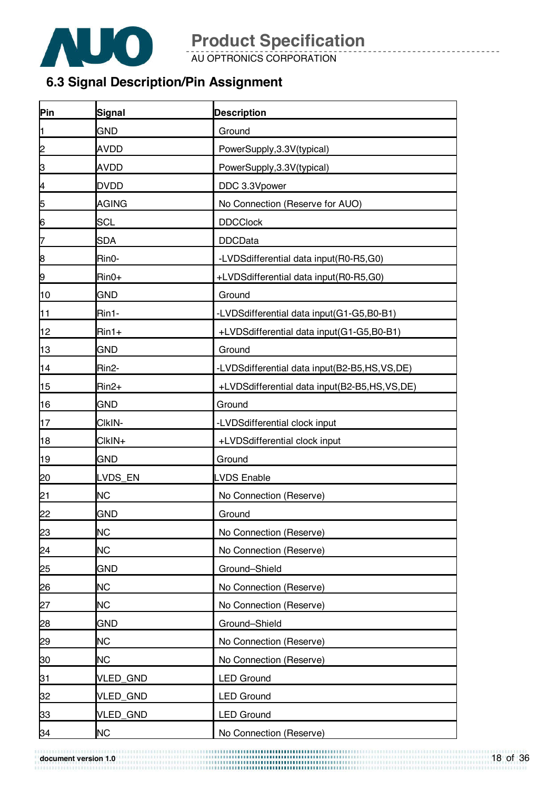

AU OPTRONICS CORPORATION

### **6.3 Signal Description/Pin Assignment**

| Pin            | Signal             | <b>Description</b>                           |
|----------------|--------------------|----------------------------------------------|
| l1             | <b>GND</b>         | Ground                                       |
| 2              | <b>AVDD</b>        | PowerSupply, 3.3V(typical)                   |
| β              | <b>AVDD</b>        | PowerSupply, 3.3V(typical)                   |
| $\overline{a}$ | <b>DVDD</b>        | DDC 3.3Vpower                                |
| $\overline{5}$ | <b>AGING</b>       | No Connection (Reserve for AUO)              |
| 6              | <b>SCL</b>         | <b>DDCClock</b>                              |
| 7              | <b>SDA</b>         | <b>DDCData</b>                               |
| 8              | Rin0-              | -LVDSdifferential data input(R0-R5,G0)       |
| 9              | $Rin0+$            | +LVDSdifferential data input(R0-R5,G0)       |
| 10             | <b>GND</b>         | Ground                                       |
| 11             | Rin1-              | -LVDSdifferential data input(G1-G5,B0-B1)    |
| 12             | $Rin1+$            | +LVDSdifferential data input(G1-G5,B0-B1)    |
| 13             | <b>GND</b>         | Ground                                       |
| 14             | Rin <sub>2</sub> - | -LVDSdifferential data input(B2-B5,HS,VS,DE) |
| 15             | Rin <sub>2+</sub>  | +LVDSdifferential data input(B2-B5,HS,VS,DE) |
| 16             | <b>GND</b>         | Ground                                       |
| 17             | CIkIN-             | -LVDSdifferential clock input                |
| 18             | CIkIN+             | +LVDSdifferential clock input                |
| 19             | <b>GND</b>         | Ground                                       |
| 20             | LVDS_EN            | <b>LVDS Enable</b>                           |
| 21             | <b>NC</b>          | No Connection (Reserve)                      |
| 22             | <b>GND</b>         | Ground                                       |
| 23             | <b>NC</b>          | No Connection (Reserve)                      |
| 24             | <b>NC</b>          | No Connection (Reserve)                      |
| 25             | <b>GND</b>         | Ground-Shield                                |
| 26             | <b>NC</b>          | No Connection (Reserve)                      |
| 27             | <b>NC</b>          | No Connection (Reserve)                      |
| 28             | <b>GND</b>         | Ground-Shield                                |
| 29             | <b>NC</b>          | No Connection (Reserve)                      |
| 30             | <b>NC</b>          | No Connection (Reserve)                      |
| 31             | VLED_GND           | <b>LED Ground</b>                            |
| 32             | VLED_GND           | <b>LED Ground</b>                            |
| 33             | VLED_GND           | <b>LED Ground</b>                            |
| 34             | <b>NC</b>          | No Connection (Reserve)                      |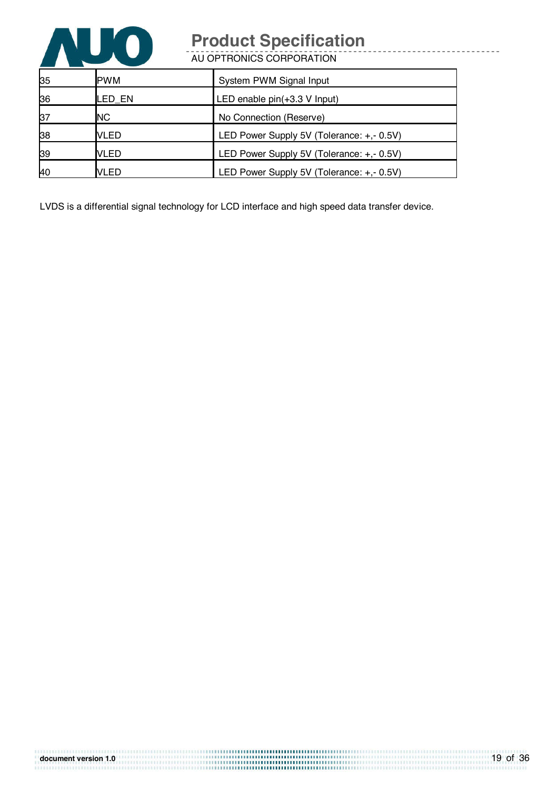

AU OPTRONICS CORPORATION

| 35 | <b>PWM</b>  | System PWM Signal Input                   |
|----|-------------|-------------------------------------------|
| 36 | LED EN      | LED enable $pin(+3.3 V$ Input)            |
| 37 | <b>NC</b>   | No Connection (Reserve)                   |
| 38 | <b>VLED</b> | LED Power Supply 5V (Tolerance: +,- 0.5V) |
| 39 | <b>VLED</b> | LED Power Supply 5V (Tolerance: +,- 0.5V) |
| 40 | <b>VLED</b> | LED Power Supply 5V (Tolerance: +,- 0.5V) |

LVDS is a differential signal technology for LCD interface and high speed data transfer device.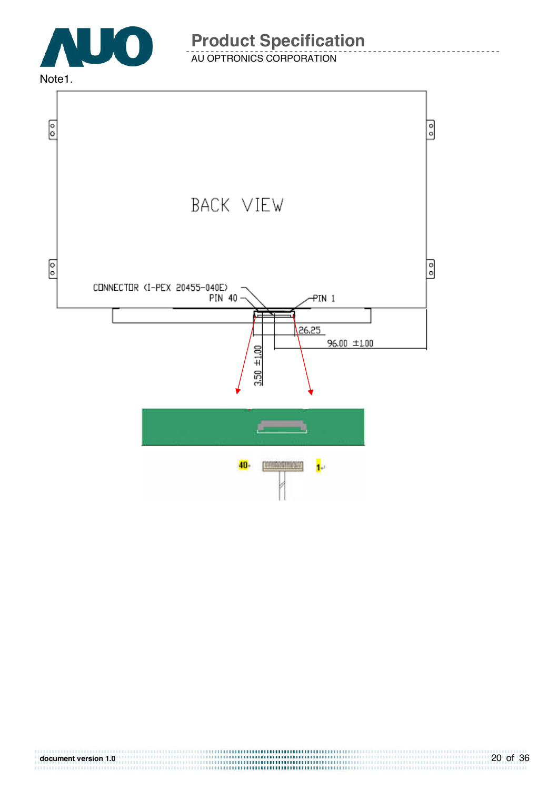

### AU OPTRONICS CORPORATION

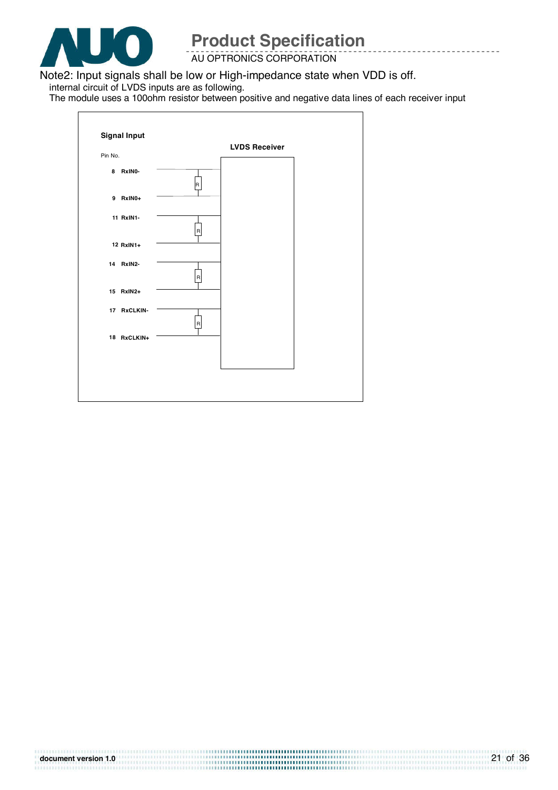

AU OPTRONICS CORPORATION

Note2: Input signals shall be low or High-impedance state when VDD is off.

internal circuit of LVDS inputs are as following.

The module uses a 100ohm resistor between positive and negative data lines of each receiver input

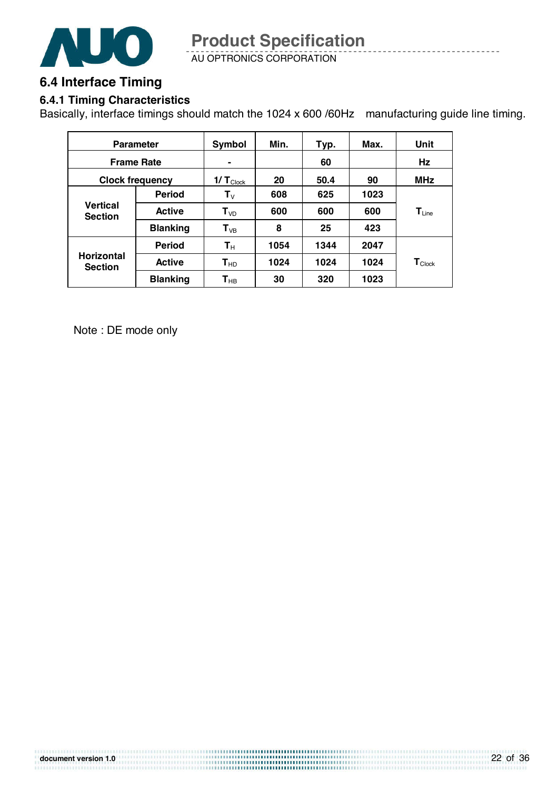

AU OPTRONICS CORPORATION **Product Specification** 

### **6.4 Interface Timing**

### **6.4.1 Timing Characteristics**

Basically, interface timings should match the 1024 x 600 /60Hz manufacturing guide line timing.

| <b>Parameter</b>                    |                 | Symbol                        | Min. | Typ. | Max. | Unit               |
|-------------------------------------|-----------------|-------------------------------|------|------|------|--------------------|
| <b>Frame Rate</b>                   |                 | $\blacksquare$                |      | 60   |      | Hz                 |
| <b>Clock frequency</b>              |                 | $1/\mathsf{T}_{\text{Clock}}$ | 20   | 50.4 | 90   | <b>MHz</b>         |
|                                     | <b>Period</b>   | $\mathbf{T}_{\mathsf{V}}$     | 608  | 625  | 1023 |                    |
| <b>Vertical</b><br><b>Section</b>   | <b>Active</b>   | $T_{VD}$                      | 600  | 600  | 600  | $T_{Line}$         |
|                                     | <b>Blanking</b> | $T_{VB}$                      | 8    | 25   | 423  |                    |
|                                     | <b>Period</b>   | $\mathbf{T}_{\mathsf{H}}$     | 1054 | 1344 | 2047 |                    |
| <b>Horizontal</b><br><b>Section</b> | <b>Active</b>   | $T_{HD}$                      | 1024 | 1024 | 1024 | $T_{\text{Clock}}$ |
|                                     | <b>Blanking</b> | $\mathsf{T}_{\mathsf{HB}}$    | 30   | 320  | 1023 |                    |

Note : DE mode only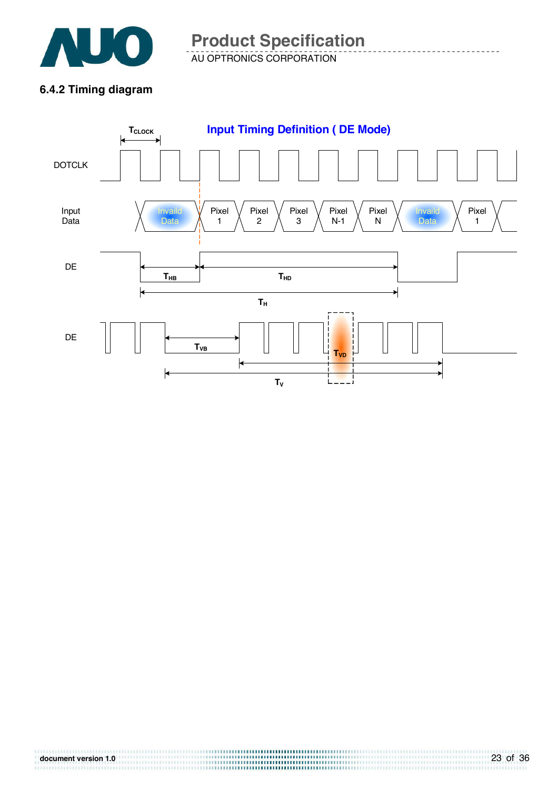

AU OPTRONICS CORPORATION **Product Specification** 

### **6.4.2 Timing diagram**

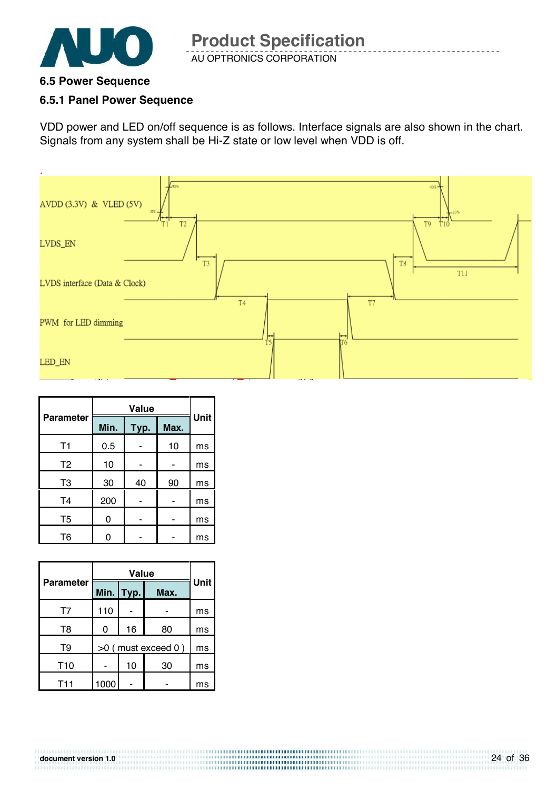

### **6.5 Power Sequence**

### **6.5.1 Panel Power Sequence**

VDD power and LED on/off sequence is as follows. Interface signals are also shown in the chart. Signals from any system shall be Hi-Z state or low level when VDD is off.



| <b>Parameter</b> | Min. | Typ. | Max. | Unit |
|------------------|------|------|------|------|
| T <sub>1</sub>   | 0.5  |      | 10   | ms   |
| T <sub>2</sub>   | 10   |      |      | ms   |
| T <sub>3</sub>   | 30   | 40   | 90   | ms   |
| T <sub>4</sub>   | 200  |      |      | ms   |
| T <sub>5</sub>   | ი    |      |      | ms   |
| Т6               |      |      |      | ms   |

|                  |                      | <b>Value</b> |      |      |  |
|------------------|----------------------|--------------|------|------|--|
| <b>Parameter</b> |                      | Min. Typ.    | Max. | Unit |  |
| T7               | 110                  |              |      | ms   |  |
| T8               | 0                    | 16           | 80   | ms   |  |
| T9               | $>0$ (must exceed 0) |              |      | ms   |  |
| T <sub>10</sub>  |                      | 10           | 30   | ms   |  |
| <b>T11</b>       | 1000                 |              |      | ms   |  |

**document version 1.0**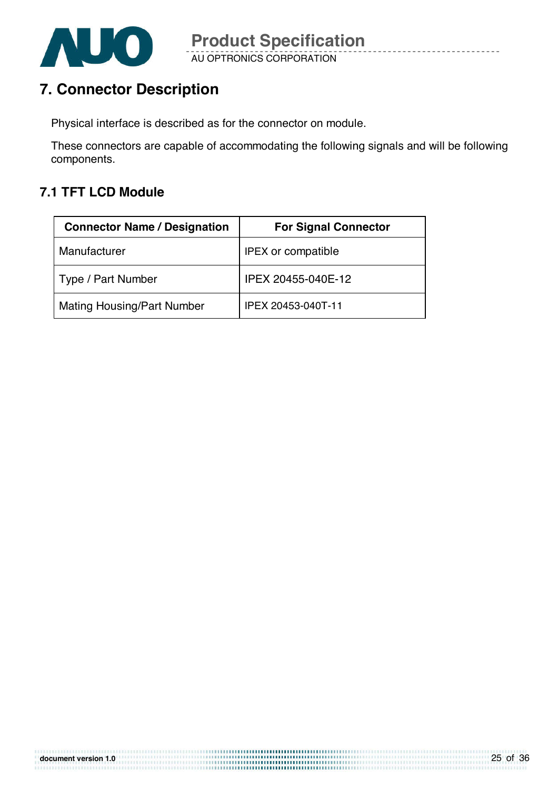

# **7. Connector Description**

Physical interface is described as for the connector on module.

These connectors are capable of accommodating the following signals and will be following components.

### **7.1 TFT LCD Module**

| <b>Connector Name / Designation</b> | <b>For Signal Connector</b> |
|-------------------------------------|-----------------------------|
| Manufacturer                        | <b>IPEX or compatible</b>   |
| Type / Part Number                  | IPEX 20455-040E-12          |
| <b>Mating Housing/Part Number</b>   | IPEX 20453-040T-11          |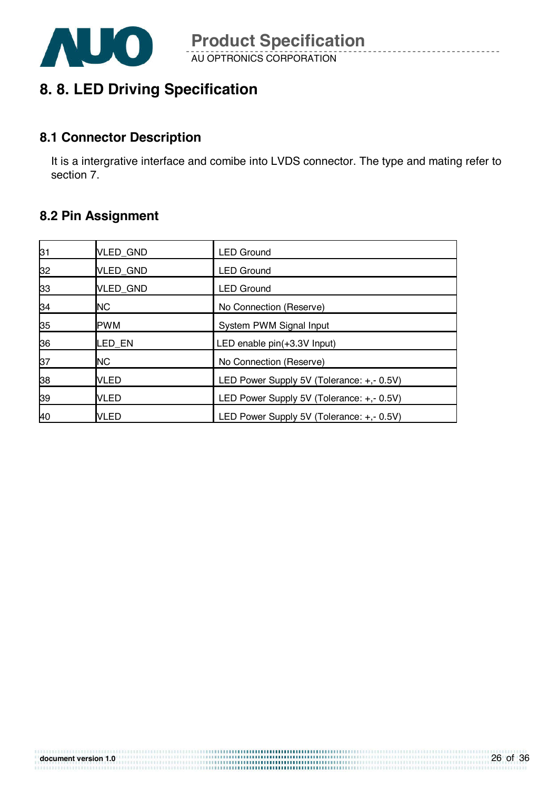

## **8. 8. LED Driving Specification**

### **8.1 Connector Description**

It is a intergrative interface and comibe into LVDS connector. The type and mating refer to section 7.

### **8.2 Pin Assignment**

| 31 | VLED_GND        | <b>LED Ground</b>                         |
|----|-----------------|-------------------------------------------|
| 32 | VLED_GND        | <b>LED Ground</b>                         |
| 33 | <b>VLED GND</b> | <b>LED Ground</b>                         |
| 34 | <b>NC</b>       | No Connection (Reserve)                   |
| 35 | <b>PWM</b>      | System PWM Signal Input                   |
| 36 | LED EN          | LED enable pin(+3.3V Input)               |
| 37 | <b>NC</b>       | No Connection (Reserve)                   |
| 38 | <b>VLED</b>     | LED Power Supply 5V (Tolerance: +,- 0.5V) |
| 39 | <b>VLED</b>     | LED Power Supply 5V (Tolerance: +,- 0.5V) |
| 40 | VLED            | LED Power Supply 5V (Tolerance: +,- 0.5V) |

```
document version 1.0
```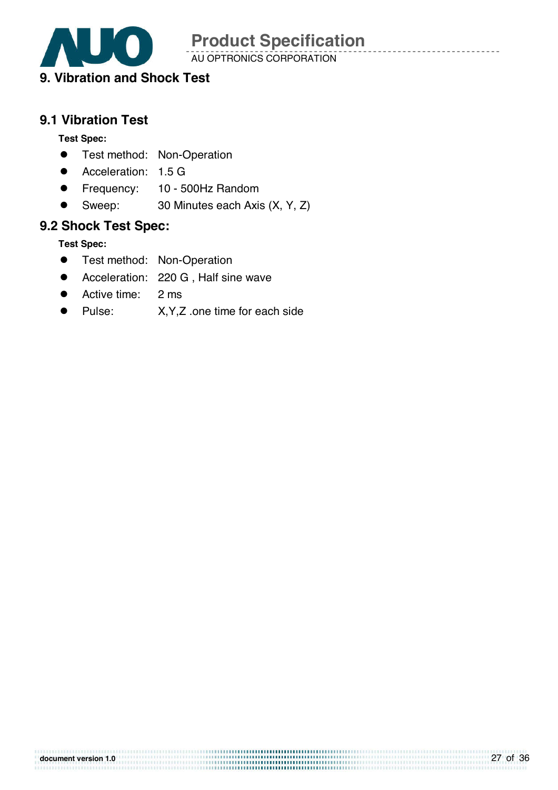

AU OPTRONICS CORPORATION

### **9. Vibration and Shock Test**

### **9.1 Vibration Test**

### **Test Spec:**

- **•** Test method: Non-Operation
- **•** Acceleration: 1.5 G
- **•** Frequency: 10 500Hz Random
- Sweep: 30 Minutes each Axis (X, Y, Z)

### **9.2 Shock Test Spec:**

**Test Spec:** 

- **•** Test method: Non-Operation
- Acceleration: 220 G, Half sine wave
- Active time: 2 ms
- Pulse: X, Y, Z .one time for each side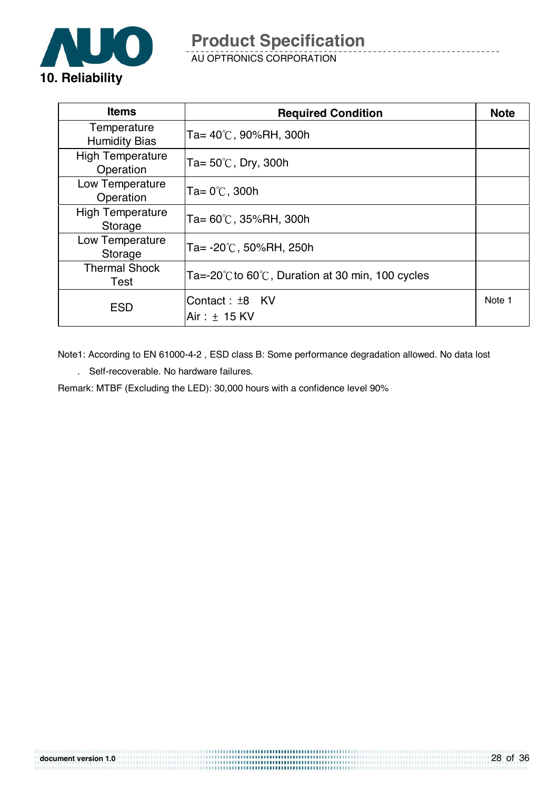

AU OPTRONICS CORPORATION

| <b>Items</b>                         | <b>Required Condition</b>                                            | <b>Note</b> |
|--------------------------------------|----------------------------------------------------------------------|-------------|
| Temperature<br><b>Humidity Bias</b>  | $Ta = 40^{\circ}$ C, 90%RH, 300h                                     |             |
| <b>High Temperature</b><br>Operation | Ta= $50^{\circ}$ C, Dry, 300h                                        |             |
| Low Temperature<br>Operation         | Ta= $0^{\circ}$ C, 300h                                              |             |
| <b>High Temperature</b><br>Storage   | $Ta = 60^{\circ}$ C, 35%RH, 300h                                     |             |
| Low Temperature<br>Storage           | $Ta = -20^{\circ}C$ , 50%RH, 250h                                    |             |
| <b>Thermal Shock</b><br>Test         | Ta=-20 $\degree$ C to 60 $\degree$ C, Duration at 30 min, 100 cycles |             |
| <b>ESD</b>                           | Contact: ±8 KV<br>Air: $\pm$ 15 KV                                   | Note 1      |

Note1: According to EN 61000-4-2 , ESD class B: Some performance degradation allowed. No data lost

. Self-recoverable. No hardware failures.

Remark: MTBF (Excluding the LED): 30,000 hours with a confidence level 90%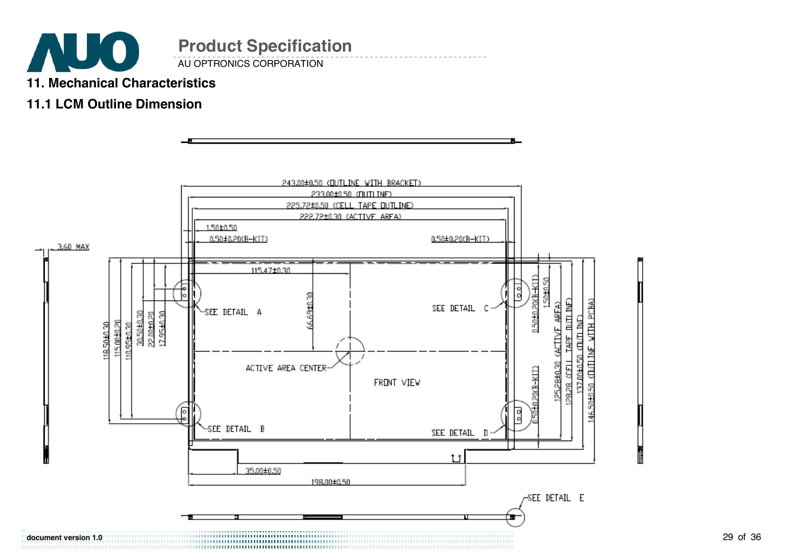

# **11. Mechanical Characteristics**

### **11.1 LCM Outline Dimension**

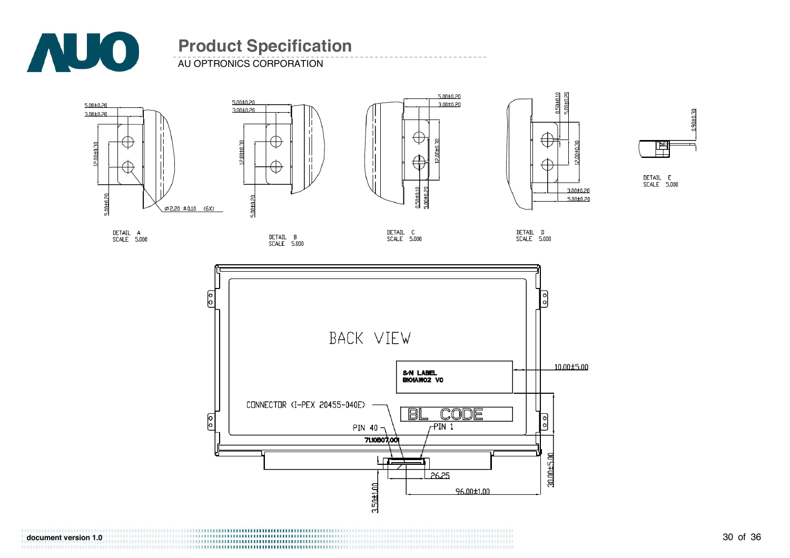

AU OPTRONICS CORPORATION











DETAIL E<br>SCALE 5.000

DETAIL A<br>SCALE 5.000







**document version 1.0**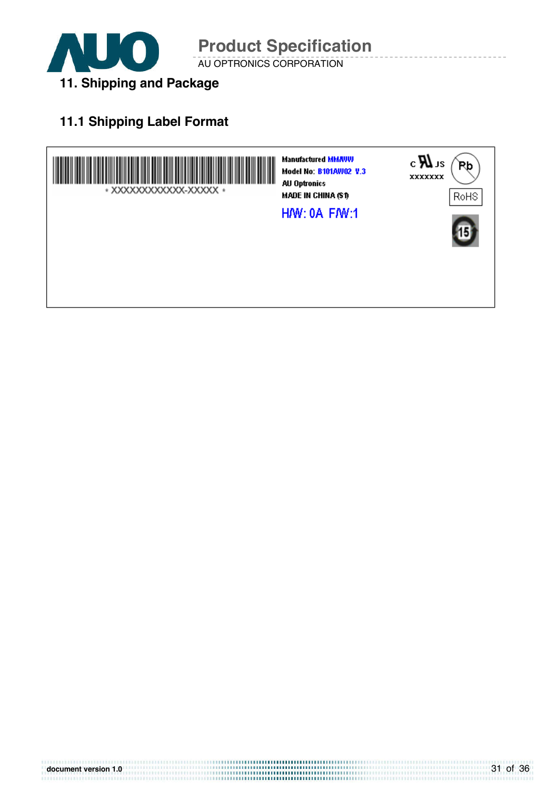

AU OPTRONICS CORPORATION **Product Specification** 

# **11.1 Shipping Label Format**

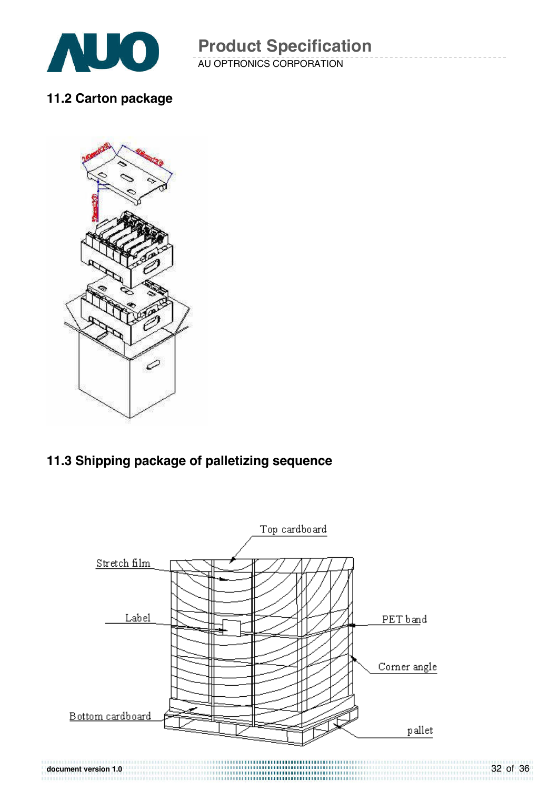

AU OPTRONICS CORPORATION **Product Specification** 

**11.2 Carton package** 



### **11.3 Shipping package of palletizing sequence**

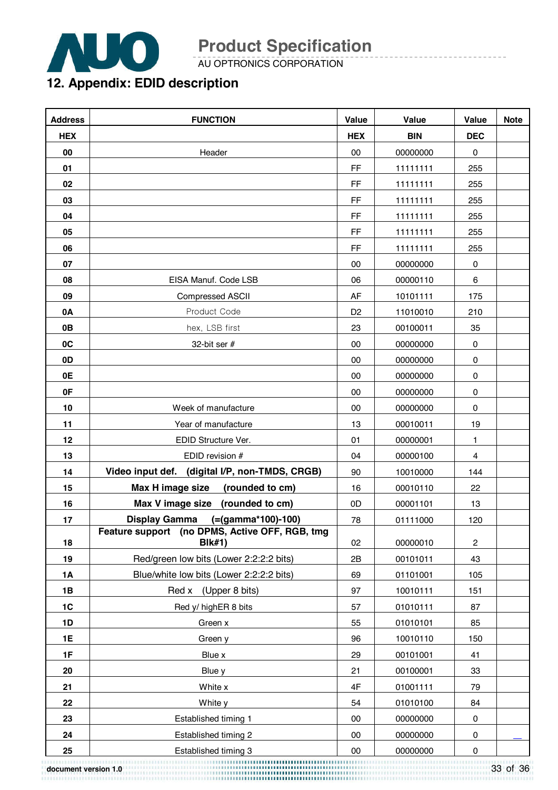

AU OPTRONICS CORPORATION

## **12. Appendix: EDID description**

| <b>Address</b> | <b>FUNCTION</b>                                                 | Value          | Value      | Value      | <b>Note</b> |
|----------------|-----------------------------------------------------------------|----------------|------------|------------|-------------|
| <b>HEX</b>     |                                                                 | <b>HEX</b>     | <b>BIN</b> | <b>DEC</b> |             |
| 00             | Header                                                          | $00\,$         | 00000000   | $\pmb{0}$  |             |
| 01             |                                                                 | FF             | 11111111   | 255        |             |
| 02             |                                                                 | FF             | 11111111   | 255        |             |
| 03             |                                                                 | FF             | 11111111   | 255        |             |
| 04             |                                                                 | FF             | 11111111   | 255        |             |
| 05             |                                                                 | <b>FF</b>      | 11111111   | 255        |             |
| 06             |                                                                 | <b>FF</b>      | 11111111   | 255        |             |
| 07             |                                                                 | 00             | 00000000   | $\pmb{0}$  |             |
| 08             | EISA Manuf. Code LSB                                            | 06             | 00000110   | 6          |             |
| 09             | <b>Compressed ASCII</b>                                         | AF             | 10101111   | 175        |             |
| 0A             | Product Code                                                    | D <sub>2</sub> | 11010010   | 210        |             |
| 0B             | hex, LSB first                                                  | 23             | 00100011   | 35         |             |
| 0C             | 32-bit ser #                                                    | 00             | 00000000   | 0          |             |
| 0D             |                                                                 | 00             | 00000000   | 0          |             |
| 0E             |                                                                 | $00\,$         | 00000000   | 0          |             |
| 0F             |                                                                 | $00\,$         | 00000000   | 0          |             |
| 10             | Week of manufacture                                             | $00\,$         | 00000000   | 0          |             |
| 11             | Year of manufacture                                             | 13             | 00010011   | 19         |             |
| 12             | EDID Structure Ver.                                             | 01             | 00000001   | 1          |             |
| 13             | EDID revision #                                                 | 04             | 00000100   | 4          |             |
| 14             | Video input def. (digital I/P, non-TMDS, CRGB)                  | 90             | 10010000   | 144        |             |
| 15             | Max H image size<br>(rounded to cm)                             | 16             | 00010110   | 22         |             |
| 16             | Max V image size<br>(rounded to cm)                             | 0D             | 00001101   | 13         |             |
| 17             | <b>Display Gamma</b><br>(=(gamma*100)-100)                      | 78             | 01111000   | 120        |             |
| 18             | Feature support (no DPMS, Active OFF, RGB, tmg<br><b>BIk#1)</b> | 02             | 00000010   | 2          |             |
| 19             | Red/green low bits (Lower 2:2:2:2 bits)                         | 2B             | 00101011   | 43         |             |
| <b>1A</b>      | Blue/white low bits (Lower 2:2:2:2 bits)                        | 69             | 01101001   | 105        |             |
| 1B             | Red x (Upper 8 bits)                                            | 97             | 10010111   | 151        |             |
| 1C             | Red y/ highER 8 bits                                            | 57             | 01010111   | 87         |             |
| 1D             | Green x                                                         | 55             | 01010101   | 85         |             |
| 1E             | Green y                                                         | 96             | 10010110   | 150        |             |
| 1F             | Blue x                                                          | 29             | 00101001   | 41         |             |
| 20             | Blue y                                                          | 21             | 00100001   | 33         |             |
| 21             | White x                                                         | 4F             | 01001111   | 79         |             |
| 22             | White y                                                         | 54             | 01010100   | 84         |             |
| 23             | Established timing 1                                            | $00\,$         | 00000000   | 0          |             |
| 24             | Established timing 2                                            | $00\,$         | 00000000   | 0          |             |
| 25             | Established timing 3                                            | 00             | 00000000   | 0          |             |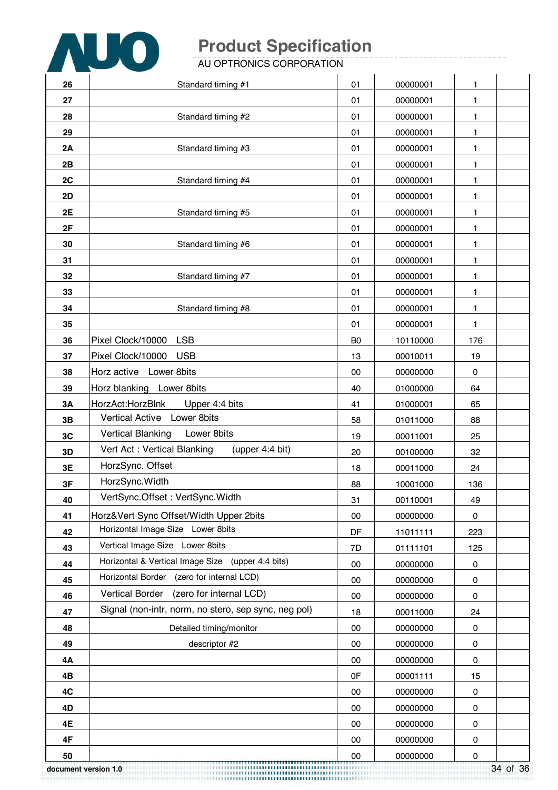

AU OPTRONICS CORPORATION

| 26                   | Standard timing #1                                   | 01             | 00000001 | 1           |          |
|----------------------|------------------------------------------------------|----------------|----------|-------------|----------|
| 27                   |                                                      | 01             | 00000001 | 1           |          |
| 28                   | Standard timing #2                                   | 01             | 00000001 | 1           |          |
| 29                   |                                                      | 01             | 00000001 | 1           |          |
| 2A                   | Standard timing #3                                   | 01             | 00000001 | 1           |          |
| 2B                   |                                                      | 01             | 00000001 | 1           |          |
| 2C                   | Standard timing #4                                   | 01             | 00000001 | 1           |          |
| 2D                   |                                                      | 01             | 00000001 | 1           |          |
| 2E                   | Standard timing #5                                   | 01             | 00000001 | 1           |          |
| 2F                   |                                                      | 01             | 00000001 | 1           |          |
| 30                   | Standard timing #6                                   | 01             | 00000001 | 1           |          |
| 31                   |                                                      | 01             | 00000001 | 1           |          |
| 32                   | Standard timing #7                                   | 01             | 00000001 | 1           |          |
| 33                   |                                                      | 01             | 00000001 | 1           |          |
| 34                   | Standard timing #8                                   | 01             | 00000001 | 1           |          |
| 35                   |                                                      | 01             | 00000001 | 1           |          |
| 36                   | <b>LSB</b><br>Pixel Clock/10000                      | B <sub>0</sub> | 10110000 | 176         |          |
| 37                   | Pixel Clock/10000<br><b>USB</b>                      | 13             | 00010011 | 19          |          |
| 38                   | Horz active Lower 8bits                              | 00             | 00000000 | $\mathbf 0$ |          |
| 39                   | Horz blanking Lower 8bits                            | 40             | 01000000 | 64          |          |
| 3A                   | HorzAct:HorzBlnk<br>Upper 4:4 bits                   | 41             | 01000001 | 65          |          |
| 3B                   | Vertical Active Lower 8bits                          | 58             | 01011000 | 88          |          |
| 3C                   | Vertical Blanking<br>Lower 8bits                     | 19             | 00011001 | 25          |          |
| 3D                   | Vert Act: Vertical Blanking<br>(upper 4:4 bit)       | 20             | 00100000 | 32          |          |
| 3E                   | HorzSync. Offset                                     | 18             | 00011000 | 24          |          |
| 3F                   | HorzSync. Width                                      | 88             | 10001000 | 136         |          |
| 40                   | VertSync.Offset: VertSync.Width                      | 31             | 00110001 | 49          |          |
| 41                   | Horz‖ Sync Offset/Width Upper 2bits                  | 00             | 00000000 | 0           |          |
| 42                   | Horizontal Image Size Lower 8bits                    | DF             | 11011111 | 223         |          |
| 43                   | Vertical Image Size Lower 8bits                      | 7D             | 01111101 | 125         |          |
| 44                   | Horizontal & Vertical Image Size (upper 4:4 bits)    | 00             | 00000000 | 0           |          |
| 45                   | Horizontal Border (zero for internal LCD)            | 00             | 00000000 | 0           |          |
| 46                   | (zero for internal LCD)<br><b>Vertical Border</b>    | 00             | 00000000 | 0           |          |
| 47                   | Signal (non-intr, norm, no stero, sep sync, neg pol) | 18             | 00011000 | 24          |          |
| 48                   | Detailed timing/monitor                              | 00             | 00000000 | 0           |          |
| 49                   | descriptor #2                                        | 00             | 00000000 | 0           |          |
| 4A                   |                                                      | 00             | 00000000 | 0           |          |
| 4B                   |                                                      | 0F             | 00001111 | 15          |          |
| 4C                   |                                                      | $00\,$         | 00000000 | 0           |          |
| 4D                   |                                                      | 00             | 00000000 | 0           |          |
| 4E                   |                                                      | 00             | 00000000 | 0           |          |
| 4F                   |                                                      | 00             | 00000000 | 0           |          |
| 50                   |                                                      | 00             | 00000000 | 0           |          |
| document version 1.0 |                                                      |                |          |             | 34 of 36 |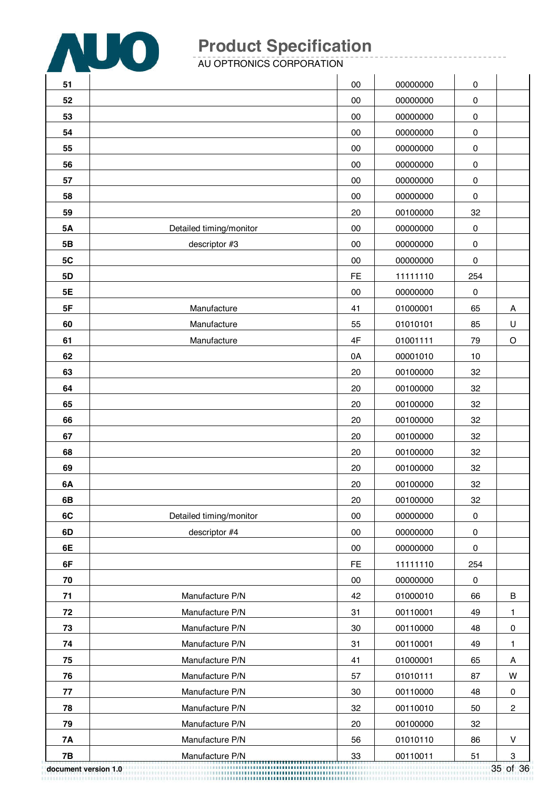

AU OPTRONICS CORPORATION

| 51         |                         | $00\,$    | 00000000 | $\pmb{0}$ |                  |
|------------|-------------------------|-----------|----------|-----------|------------------|
| 52         |                         | 00        | 00000000 | 0         |                  |
| 53         |                         | 00        | 00000000 | 0         |                  |
| 54         |                         | 00        | 00000000 | $\pmb{0}$ |                  |
| 55         |                         | $00\,$    | 00000000 | 0         |                  |
| 56         |                         | 00        | 00000000 | $\pmb{0}$ |                  |
| 57         |                         | 00        | 00000000 | 0         |                  |
| 58         |                         | 00        | 00000000 | $\pmb{0}$ |                  |
| 59         |                         | 20        | 00100000 | 32        |                  |
| 5A         | Detailed timing/monitor | 00        | 00000000 | $\pmb{0}$ |                  |
| 5B         | descriptor #3           | 00        | 00000000 | 0         |                  |
| 5C         |                         | 00        | 00000000 | 0         |                  |
| 5D         |                         | <b>FE</b> | 11111110 | 254       |                  |
| 5E         |                         | 00        | 00000000 | $\pmb{0}$ |                  |
| 5F         | Manufacture             | 41        | 01000001 | 65        | Α                |
| 60         | Manufacture             | 55        | 01010101 | 85        | U                |
| 61         | Manufacture             | 4F        | 01001111 | 79        | O                |
| 62         |                         | 0A        | 00001010 | 10        |                  |
| 63         |                         | 20        | 00100000 | 32        |                  |
| 64         |                         | 20        | 00100000 | 32        |                  |
| 65         |                         | 20        | 00100000 | 32        |                  |
| 66         |                         | 20        | 00100000 | 32        |                  |
| 67         |                         | 20        | 00100000 | 32        |                  |
| 68         |                         | 20        | 00100000 | 32        |                  |
| 69         |                         | 20        | 00100000 | 32        |                  |
| 6A         |                         | 20        | 00100000 | 32        |                  |
| 6B         |                         | <b>20</b> | 00100000 | 32        |                  |
| 6C         | Detailed timing/monitor | 00        | 00000000 | $\pmb{0}$ |                  |
| 6D         | descriptor #4           | $00\,$    | 00000000 | 0         |                  |
| 6E         |                         | $00\,$    | 00000000 | 0         |                  |
| 6F         |                         | <b>FE</b> | 11111110 | 254       |                  |
| ${\bf 70}$ |                         | 00        | 00000000 | 0         |                  |
| 71         | Manufacture P/N         | 42        | 01000010 | 66        | $\sf B$          |
| 72         | Manufacture P/N         | 31        | 00110001 | 49        | 1.               |
| 73         | Manufacture P/N         | 30        | 00110000 | 48        | $\pmb{0}$        |
| 74         | Manufacture P/N         | 31        | 00110001 | 49        | 1.               |
| 75         | Manufacture P/N         | 41        | 01000001 | 65        | A                |
| 76         | Manufacture P/N         | 57        | 01010111 | 87        | W                |
| 77         | Manufacture P/N         | 30        | 00110000 | 48        | $\pmb{0}$        |
| 78         | Manufacture P/N         | 32        | 00110010 | 50        | $\sqrt{2}$       |
| 79         | Manufacture P/N         | 20        | 00100000 | 32        |                  |
| <b>7A</b>  | Manufacture P/N         | 56        | 01010110 | 86        | V                |
| 7B         | Manufacture P/N         | 33        | 00110011 | 51        | $\boldsymbol{3}$ |